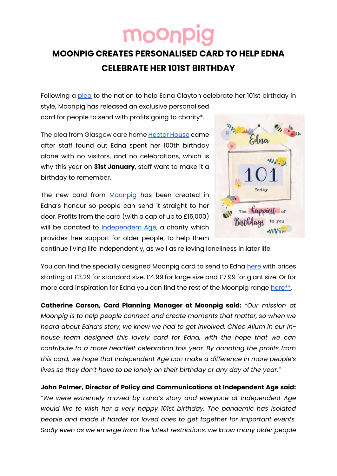## moon

## **MOONPIG CREATES PERSONALISED CARD TO HELP EDNA CELEBRATE HER 101ST BIRTHDAY**

Following a [plea](https://www.bbc.co.uk/news/uk-scotland-glasgow-west-60023873?fbclid=IwAR21FCIMKx55xRSivbUDnlH6XZzZXXcac_JgHahssteg6H-oEmpMIeaeFcU) to the nation to help Edna Clayton celebrate her 101st birthday in style, Moonpig has released an exclusive personalised

card for people to send with profits going to charity\*.

Th[e](https://www.carehome.co.uk/carehome.cfm/searchazref/10006040HECA) plea from Glasgow care home **[Hector House](https://www.carehome.co.uk/carehome.cfm/searchazref/10006040HECA) came** after staff found out Edna spent her 100th birthday alone with no visitors, and no celebrations, which is why this year on **31st January**, staff want to make it a birthday to remember.

The new card fro[m](http://www.moonpig.com/uk) **[Moonpig](http://www.moonpig.com/uk)** has been created in Edna's honour so people can send it straight to her door. Profits from the card (with a cap of up to £15,000) will be donated to [Independent Age,](https://www.independentage.org/about-us/how-we-help) a charity which provides free support for older people, to help them



continue living life independently, as well as relieving loneliness in later life.

You can find the specially designed Moonpig card to send to Edna [here](https://www.moonpig.com/uk/personalised-cards/p/bees-knees-floral-101-today-birthday-card/bee149/) with prices starting at £3.29 for standard size, £4.99 for large size and £7.99 for giant size. Or for mor[e](https://www.moonpig.com/uk/personalised-cards/birthday/) card inspiration for Edna you can find the rest of the Moonpig range [here\\*](https://www.moonpig.com/uk/personalised-cards/birthday/)\*.

**Catherine Carson, Card Planning Manager at Moonpig said:** *"Our mission at Moonpig is to help people connect and create moments that matter, so when we heard about Edna's story, we knew we had to get involved. Chloe Allum in our inhouse team designed this lovely card for Edna, with the hope that we can contribute to a more heartfelt celebration this year. By donating the profits from this card, we hope that Independent Age can make a difference in more people's lives so they don't have to be lonely on their birthday or any day of the year."*

**John Palmer, Director of Policy and Communications at Independent Age said:** *"We were extremely moved by Edna's story and everyone at Independent Age would like to wish her a very happy 101st birthday. The pandemic has isolated people and made it harder for loved ones to get together for important events. Sadly even as we emerge from the latest restrictions, we know many older people*